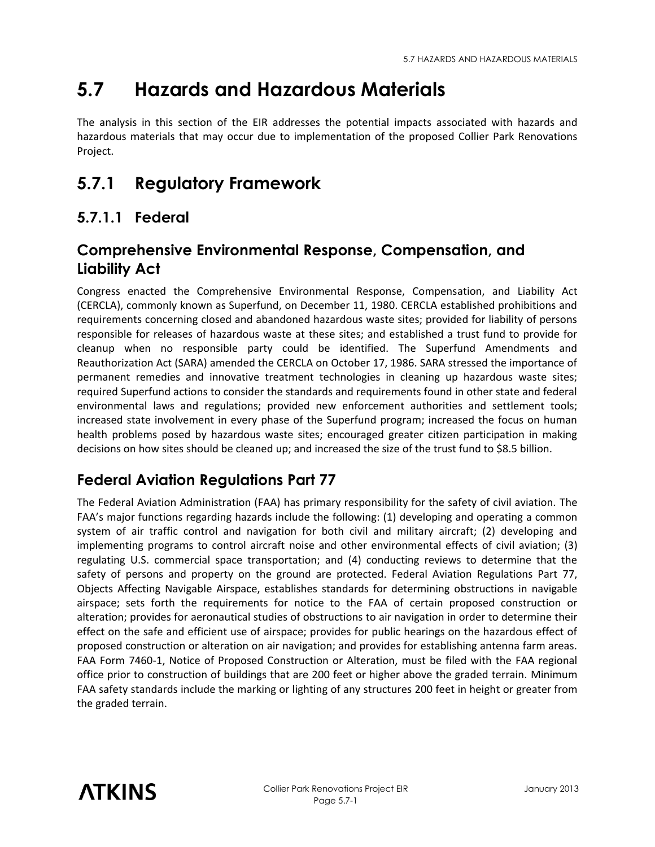# **5.7 Hazards and Hazardous Materials**

The analysis in this section of the EIR addresses the potential impacts associated with hazards and hazardous materials that may occur due to implementation of the proposed Collier Park Renovations Project.

# **5.7.1 Regulatory Framework**

# **5.7.1.1 Federal**

## **Comprehensive Environmental Response, Compensation, and Liability Act**

Congress enacted the Comprehensive Environmental Response, Compensation, and Liability Act (CERCLA), commonly known as Superfund, on December 11, 1980. CERCLA established prohibitions and requirements concerning closed and abandoned hazardous waste sites; provided for liability of persons responsible for releases of hazardous waste at these sites; and established a trust fund to provide for cleanup when no responsible party could be identified. The Superfund Amendments and Reauthorization Act (SARA) amended the CERCLA on October 17, 1986. SARA stressed the importance of permanent remedies and innovative treatment technologies in cleaning up hazardous waste sites; required Superfund actions to consider the standards and requirements found in other state and federal environmental laws and regulations; provided new enforcement authorities and settlement tools; increased state involvement in every phase of the Superfund program; increased the focus on human health problems posed by hazardous waste sites; encouraged greater citizen participation in making decisions on how sites should be cleaned up; and increased the size of the trust fund to \$8.5 billion.

# **Federal Aviation Regulations Part 77**

The Federal Aviation Administration (FAA) has primary responsibility for the safety of civil aviation. The FAA's major functions regarding hazards include the following: (1) developing and operating a common system of air traffic control and navigation for both civil and military aircraft; (2) developing and implementing programs to control aircraft noise and other environmental effects of civil aviation; (3) regulating U.S. commercial space transportation; and (4) conducting reviews to determine that the safety of persons and property on the ground are protected. Federal Aviation Regulations Part 77, Objects Affecting Navigable Airspace, establishes standards for determining obstructions in navigable airspace; sets forth the requirements for notice to the FAA of certain proposed construction or alteration; provides for aeronautical studies of obstructions to air navigation in order to determine their effect on the safe and efficient use of airspace; provides for public hearings on the hazardous effect of proposed construction or alteration on air navigation; and provides for establishing antenna farm areas. FAA Form 7460-1, Notice of Proposed Construction or Alteration, must be filed with the FAA regional office prior to construction of buildings that are 200 feet or higher above the graded terrain. Minimum FAA safety standards include the marking or lighting of any structures 200 feet in height or greater from the graded terrain.

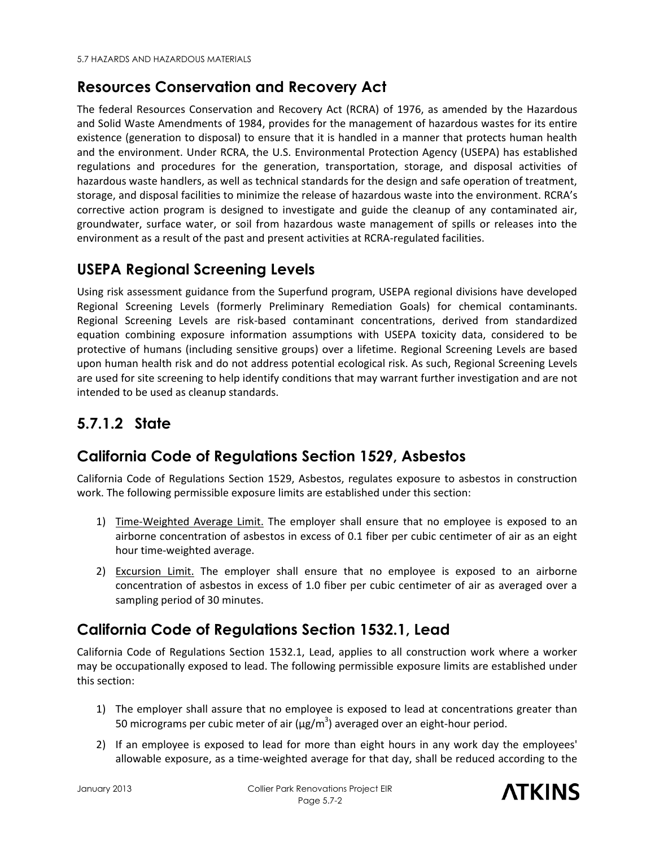## **Resources Conservation and Recovery Act**

The federal Resources Conservation and Recovery Act (RCRA) of 1976, as amended by the Hazardous and Solid Waste Amendments of 1984, provides for the management of hazardous wastes for its entire existence (generation to disposal) to ensure that it is handled in a manner that protects human health and the environment. Under RCRA, the U.S. Environmental Protection Agency (USEPA) has established regulations and procedures for the generation, transportation, storage, and disposal activities of hazardous waste handlers, as well as technical standards for the design and safe operation of treatment, storage, and disposal facilities to minimize the release of hazardous waste into the environment. RCRA's corrective action program is designed to investigate and guide the cleanup of any contaminated air, groundwater, surface water, or soil from hazardous waste management of spills or releases into the environment as a result of the past and present activities at RCRA-regulated facilities.

## **USEPA Regional Screening Levels**

Using risk assessment guidance from the Superfund program, USEPA regional divisions have developed Regional Screening Levels (formerly Preliminary Remediation Goals) for chemical contaminants. Regional Screening Levels are risk-based contaminant concentrations, derived from standardized equation combining exposure information assumptions with USEPA toxicity data, considered to be protective of humans (including sensitive groups) over a lifetime. Regional Screening Levels are based upon human health risk and do not address potential ecological risk. As such, Regional Screening Levels are used for site screening to help identify conditions that may warrant further investigation and are not intended to be used as cleanup standards.

# **5.7.1.2 State**

## **California Code of Regulations Section 1529, Asbestos**

California Code of Regulations Section 1529, Asbestos, regulates exposure to asbestos in construction work. The following permissible exposure limits are established under this section:

- 1) Time-Weighted Average Limit. The employer shall ensure that no employee is exposed to an airborne concentration of asbestos in excess of 0.1 fiber per cubic centimeter of air as an eight hour time-weighted average.
- 2) Excursion Limit. The employer shall ensure that no employee is exposed to an airborne concentration of asbestos in excess of 1.0 fiber per cubic centimeter of air as averaged over a sampling period of 30 minutes.

## **California Code of Regulations Section 1532.1, Lead**

California Code of Regulations Section 1532.1, Lead, applies to all construction work where a worker may be occupationally exposed to lead. The following permissible exposure limits are established under this section:

- 1) The employer shall assure that no employee is exposed to lead at concentrations greater than 50 micrograms per cubic meter of air (μg/m<sup>3</sup>) averaged over an eight-hour period.
- 2) If an employee is exposed to lead for more than eight hours in any work day the employees' allowable exposure, as a time-weighted average for that day, shall be reduced according to the

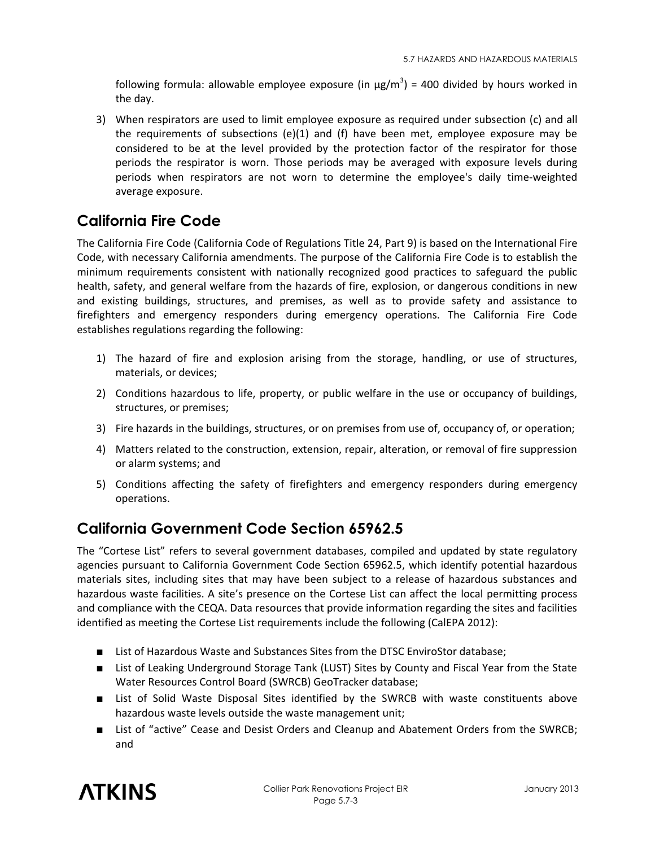following formula: allowable employee exposure (in  $\mu$ g/m<sup>3</sup>) = 400 divided by hours worked in the day.

3) When respirators are used to limit employee exposure as required under subsection (c) and all the requirements of subsections (e)(1) and (f) have been met, employee exposure may be considered to be at the level provided by the protection factor of the respirator for those periods the respirator is worn. Those periods may be averaged with exposure levels during periods when respirators are not worn to determine the employee's daily time-weighted average exposure.

## **California Fire Code**

The California Fire Code (California Code of Regulations Title 24, Part 9) is based on the International Fire Code, with necessary California amendments. The purpose of the California Fire Code is to establish the minimum requirements consistent with nationally recognized good practices to safeguard the public health, safety, and general welfare from the hazards of fire, explosion, or dangerous conditions in new and existing buildings, structures, and premises, as well as to provide safety and assistance to firefighters and emergency responders during emergency operations. The California Fire Code establishes regulations regarding the following:

- 1) The hazard of fire and explosion arising from the storage, handling, or use of structures, materials, or devices;
- 2) Conditions hazardous to life, property, or public welfare in the use or occupancy of buildings, structures, or premises;
- 3) Fire hazards in the buildings, structures, or on premises from use of, occupancy of, or operation;
- 4) Matters related to the construction, extension, repair, alteration, or removal of fire suppression or alarm systems; and
- 5) Conditions affecting the safety of firefighters and emergency responders during emergency operations.

## **California Government Code Section 65962.5**

The "Cortese List" refers to several government databases, compiled and updated by state regulatory agencies pursuant to California Government Code Section 65962.5, which identify potential hazardous materials sites, including sites that may have been subject to a release of hazardous substances and hazardous waste facilities. A site's presence on the Cortese List can affect the local permitting process and compliance with the CEQA. Data resources that provide information regarding the sites and facilities identified as meeting the Cortese List requirements include the following (CalEPA 2012):

- List of Hazardous Waste and Substances Sites from the DTSC EnviroStor database;
- List of Leaking Underground Storage Tank (LUST) Sites by County and Fiscal Year from the State Water Resources Control Board (SWRCB) GeoTracker database;
- List of Solid Waste Disposal Sites identified by the SWRCB with waste constituents above hazardous waste levels outside the waste management unit;
- List of "active" Cease and Desist Orders and Cleanup and Abatement Orders from the SWRCB; and

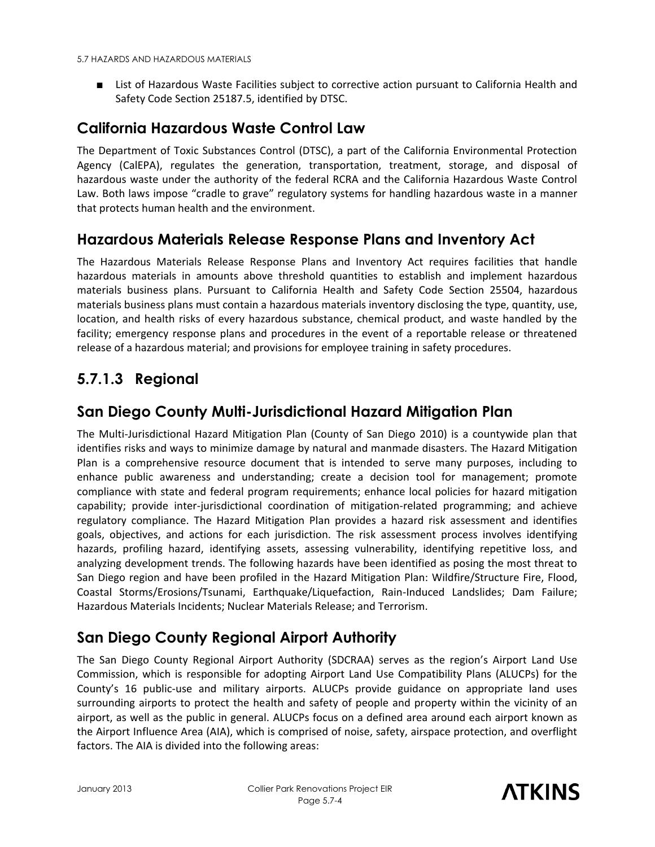■ List of Hazardous Waste Facilities subject to corrective action pursuant to California Health and Safety Code Section 25187.5, identified by DTSC.

## **California Hazardous Waste Control Law**

The Department of Toxic Substances Control (DTSC), a part of the California Environmental Protection Agency (CalEPA), regulates the generation, transportation, treatment, storage, and disposal of hazardous waste under the authority of the federal RCRA and the California Hazardous Waste Control Law. Both laws impose "cradle to grave" regulatory systems for handling hazardous waste in a manner that protects human health and the environment.

### **Hazardous Materials Release Response Plans and Inventory Act**

The Hazardous Materials Release Response Plans and Inventory Act requires facilities that handle hazardous materials in amounts above threshold quantities to establish and implement hazardous materials business plans. Pursuant to California Health and Safety Code Section 25504, hazardous materials business plans must contain a hazardous materials inventory disclosing the type, quantity, use, location, and health risks of every hazardous substance, chemical product, and waste handled by the facility; emergency response plans and procedures in the event of a reportable release or threatened release of a hazardous material; and provisions for employee training in safety procedures.

# **5.7.1.3 Regional**

#### **San Diego County Multi-Jurisdictional Hazard Mitigation Plan**

The Multi-Jurisdictional Hazard Mitigation Plan (County of San Diego 2010) is a countywide plan that identifies risks and ways to minimize damage by natural and manmade disasters. The Hazard Mitigation Plan is a comprehensive resource document that is intended to serve many purposes, including to enhance public awareness and understanding; create a decision tool for management; promote compliance with state and federal program requirements; enhance local policies for hazard mitigation capability; provide inter-jurisdictional coordination of mitigation-related programming; and achieve regulatory compliance. The Hazard Mitigation Plan provides a hazard risk assessment and identifies goals, objectives, and actions for each jurisdiction. The risk assessment process involves identifying hazards, profiling hazard, identifying assets, assessing vulnerability, identifying repetitive loss, and analyzing development trends. The following hazards have been identified as posing the most threat to San Diego region and have been profiled in the Hazard Mitigation Plan: Wildfire/Structure Fire, Flood, Coastal Storms/Erosions/Tsunami, Earthquake/Liquefaction, Rain-Induced Landslides; Dam Failure; Hazardous Materials Incidents; Nuclear Materials Release; and Terrorism.

## **San Diego County Regional Airport Authority**

The San Diego County Regional Airport Authority (SDCRAA) serves as the region's Airport Land Use Commission, which is responsible for adopting Airport Land Use Compatibility Plans (ALUCPs) for the County's 16 public-use and military airports. ALUCPs provide guidance on appropriate land uses surrounding airports to protect the health and safety of people and property within the vicinity of an airport, as well as the public in general. ALUCPs focus on a defined area around each airport known as the Airport Influence Area (AIA), which is comprised of noise, safety, airspace protection, and overflight factors. The AIA is divided into the following areas:

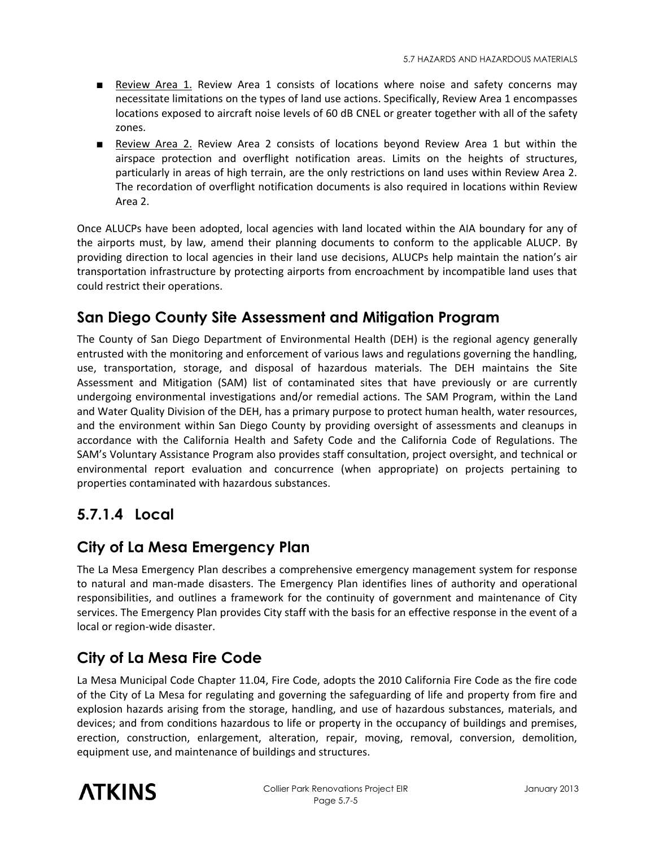- Review Area 1. Review Area 1 consists of locations where noise and safety concerns may necessitate limitations on the types of land use actions. Specifically, Review Area 1 encompasses locations exposed to aircraft noise levels of 60 dB CNEL or greater together with all of the safety zones.
- Review Area 2. Review Area 2 consists of locations beyond Review Area 1 but within the airspace protection and overflight notification areas. Limits on the heights of structures, particularly in areas of high terrain, are the only restrictions on land uses within Review Area 2. The recordation of overflight notification documents is also required in locations within Review Area 2.

Once ALUCPs have been adopted, local agencies with land located within the AIA boundary for any of the airports must, by law, amend their planning documents to conform to the applicable ALUCP. By providing direction to local agencies in their land use decisions, ALUCPs help maintain the nation's air transportation infrastructure by protecting airports from encroachment by incompatible land uses that could restrict their operations.

## **San Diego County Site Assessment and Mitigation Program**

The County of San Diego Department of Environmental Health (DEH) is the regional agency generally entrusted with the monitoring and enforcement of various laws and regulations governing the handling, use, transportation, storage, and disposal of hazardous materials. The DEH maintains the Site Assessment and Mitigation (SAM) list of contaminated sites that have previously or are currently undergoing environmental investigations and/or remedial actions. The SAM Program, within the Land and Water Quality Division of the DEH, has a primary purpose to protect human health, water resources, and the environment within San Diego County by providing oversight of assessments and cleanups in accordance with the California Health and Safety Code and the California Code of Regulations. The SAM's Voluntary Assistance Program also provides staff consultation, project oversight, and technical or environmental report evaluation and concurrence (when appropriate) on projects pertaining to properties contaminated with hazardous substances.

## **5.7.1.4 Local**

### **City of La Mesa Emergency Plan**

The La Mesa Emergency Plan describes a comprehensive emergency management system for response to natural and man-made disasters. The Emergency Plan identifies lines of authority and operational responsibilities, and outlines a framework for the continuity of government and maintenance of City services. The Emergency Plan provides City staff with the basis for an effective response in the event of a local or region-wide disaster.

## **City of La Mesa Fire Code**

La Mesa Municipal Code Chapter 11.04, Fire Code, adopts the 2010 California Fire Code as the fire code of the City of La Mesa for regulating and governing the safeguarding of life and property from fire and explosion hazards arising from the storage, handling, and use of hazardous substances, materials, and devices; and from conditions hazardous to life or property in the occupancy of buildings and premises, erection, construction, enlargement, alteration, repair, moving, removal, conversion, demolition, equipment use, and maintenance of buildings and structures.

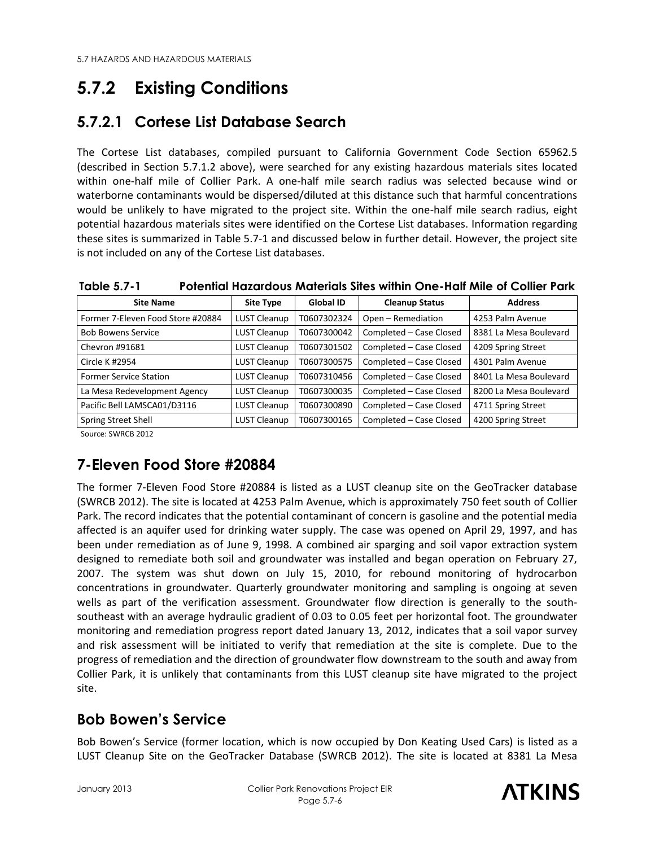# **5.7.2 Existing Conditions**

## **5.7.2.1 Cortese List Database Search**

The Cortese List databases, compiled pursuant to California Government Code Section 65962.5 (described in Section 5.7.1.2 above), were searched for any existing hazardous materials sites located within one-half mile of Collier Park. A one-half mile search radius was selected because wind or waterborne contaminants would be dispersed/diluted at this distance such that harmful concentrations would be unlikely to have migrated to the project site. Within the one-half mile search radius, eight potential hazardous materials sites were identified on the Cortese List databases. Information regarding these sites is summarized in Table 5.7-1 and discussed below in further detail. However, the project site is not included on any of the Cortese List databases.

| <b>Site Name</b>                  | Site Type           | <b>Global ID</b> | <b>Cleanup Status</b>   | <b>Address</b>         |
|-----------------------------------|---------------------|------------------|-------------------------|------------------------|
| Former 7-Eleven Food Store #20884 | <b>LUST Cleanup</b> | T0607302324      | Open - Remediation      | 4253 Palm Avenue       |
| <b>Bob Bowens Service</b>         | <b>LUST Cleanup</b> | T0607300042      | Completed - Case Closed | 8381 La Mesa Boulevard |
| Chevron #91681                    | <b>LUST Cleanup</b> | T0607301502      | Completed - Case Closed | 4209 Spring Street     |
| Circle K #2954                    | <b>LUST Cleanup</b> | T0607300575      | Completed - Case Closed | 4301 Palm Avenue       |
| <b>Former Service Station</b>     | <b>LUST Cleanup</b> | T0607310456      | Completed - Case Closed | 8401 La Mesa Boulevard |
| La Mesa Redevelopment Agency      | <b>LUST Cleanup</b> | T0607300035      | Completed - Case Closed | 8200 La Mesa Boulevard |
| Pacific Bell LAMSCA01/D3116       | <b>LUST Cleanup</b> | T0607300890      | Completed - Case Closed | 4711 Spring Street     |
| <b>Spring Street Shell</b>        | <b>LUST Cleanup</b> | T0607300165      | Completed - Case Closed | 4200 Spring Street     |

**Table 5.7-1 Potential Hazardous Materials Sites within One-Half Mile of Collier Park** 

Source: SWRCB 2012

## **7-Eleven Food Store #20884**

The former 7-Eleven Food Store #20884 is listed as a LUST cleanup site on the GeoTracker database (SWRCB 2012). The site is located at 4253 Palm Avenue, which is approximately 750 feet south of Collier Park. The record indicates that the potential contaminant of concern is gasoline and the potential media affected is an aquifer used for drinking water supply. The case was opened on April 29, 1997, and has been under remediation as of June 9, 1998. A combined air sparging and soil vapor extraction system designed to remediate both soil and groundwater was installed and began operation on February 27, 2007. The system was shut down on July 15, 2010, for rebound monitoring of hydrocarbon concentrations in groundwater. Quarterly groundwater monitoring and sampling is ongoing at seven wells as part of the verification assessment. Groundwater flow direction is generally to the southsoutheast with an average hydraulic gradient of 0.03 to 0.05 feet per horizontal foot. The groundwater monitoring and remediation progress report dated January 13, 2012, indicates that a soil vapor survey and risk assessment will be initiated to verify that remediation at the site is complete. Due to the progress of remediation and the direction of groundwater flow downstream to the south and away from Collier Park, it is unlikely that contaminants from this LUST cleanup site have migrated to the project site.

## **Bob Bowen's Service**

Bob Bowen's Service (former location, which is now occupied by Don Keating Used Cars) is listed as a LUST Cleanup Site on the GeoTracker Database (SWRCB 2012). The site is located at 8381 La Mesa

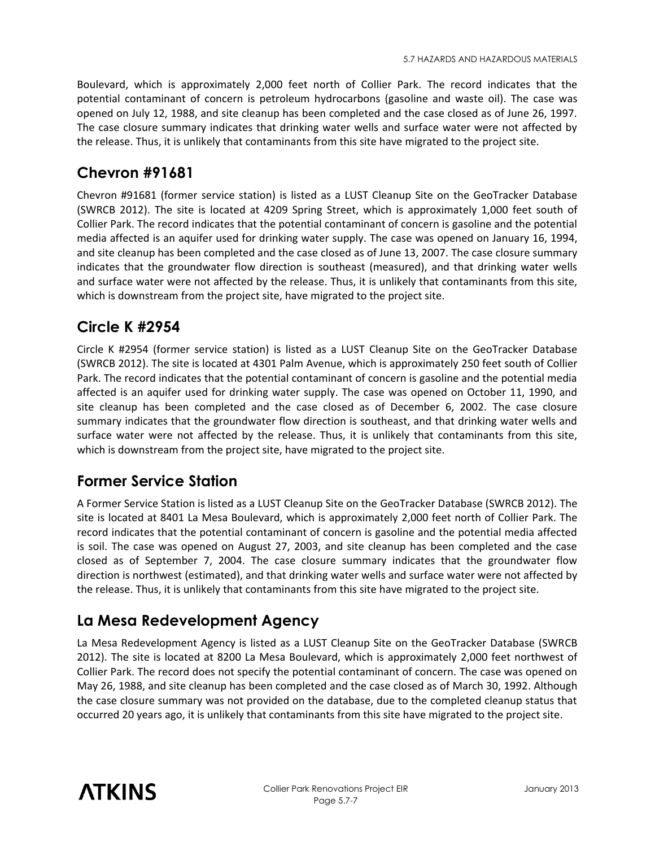Boulevard, which is approximately 2,000 feet north of Collier Park. The record indicates that the potential contaminant of concern is petroleum hydrocarbons (gasoline and waste oil). The case was opened on July 12, 1988, and site cleanup has been completed and the case closed as of June 26, 1997. The case closure summary indicates that drinking water wells and surface water were not affected by the release. Thus, it is unlikely that contaminants from this site have migrated to the project site.

# **Chevron #91681**

Chevron #91681 (former service station) is listed as a LUST Cleanup Site on the GeoTracker Database (SWRCB 2012). The site is located at 4209 Spring Street, which is approximately 1,000 feet south of Collier Park. The record indicates that the potential contaminant of concern is gasoline and the potential media affected is an aquifer used for drinking water supply. The case was opened on January 16, 1994, and site cleanup has been completed and the case closed as of June 13, 2007. The case closure summary indicates that the groundwater flow direction is southeast (measured), and that drinking water wells and surface water were not affected by the release. Thus, it is unlikely that contaminants from this site, which is downstream from the project site, have migrated to the project site.

## **Circle K #2954**

Circle K #2954 (former service station) is listed as a LUST Cleanup Site on the GeoTracker Database (SWRCB 2012). The site is located at 4301 Palm Avenue, which is approximately 250 feet south of Collier Park. The record indicates that the potential contaminant of concern is gasoline and the potential media affected is an aquifer used for drinking water supply. The case was opened on October 11, 1990, and site cleanup has been completed and the case closed as of December 6, 2002. The case closure summary indicates that the groundwater flow direction is southeast, and that drinking water wells and surface water were not affected by the release. Thus, it is unlikely that contaminants from this site, which is downstream from the project site, have migrated to the project site.

## **Former Service Station**

A Former Service Station is listed as a LUST Cleanup Site on the GeoTracker Database (SWRCB 2012). The site is located at 8401 La Mesa Boulevard, which is approximately 2,000 feet north of Collier Park. The record indicates that the potential contaminant of concern is gasoline and the potential media affected is soil. The case was opened on August 27, 2003, and site cleanup has been completed and the case closed as of September 7, 2004. The case closure summary indicates that the groundwater flow direction is northwest (estimated), and that drinking water wells and surface water were not affected by the release. Thus, it is unlikely that contaminants from this site have migrated to the project site.

# **La Mesa Redevelopment Agency**

La Mesa Redevelopment Agency is listed as a LUST Cleanup Site on the GeoTracker Database (SWRCB 2012). The site is located at 8200 La Mesa Boulevard, which is approximately 2,000 feet northwest of Collier Park. The record does not specify the potential contaminant of concern. The case was opened on May 26, 1988, and site cleanup has been completed and the case closed as of March 30, 1992. Although the case closure summary was not provided on the database, due to the completed cleanup status that occurred 20 years ago, it is unlikely that contaminants from this site have migrated to the project site.

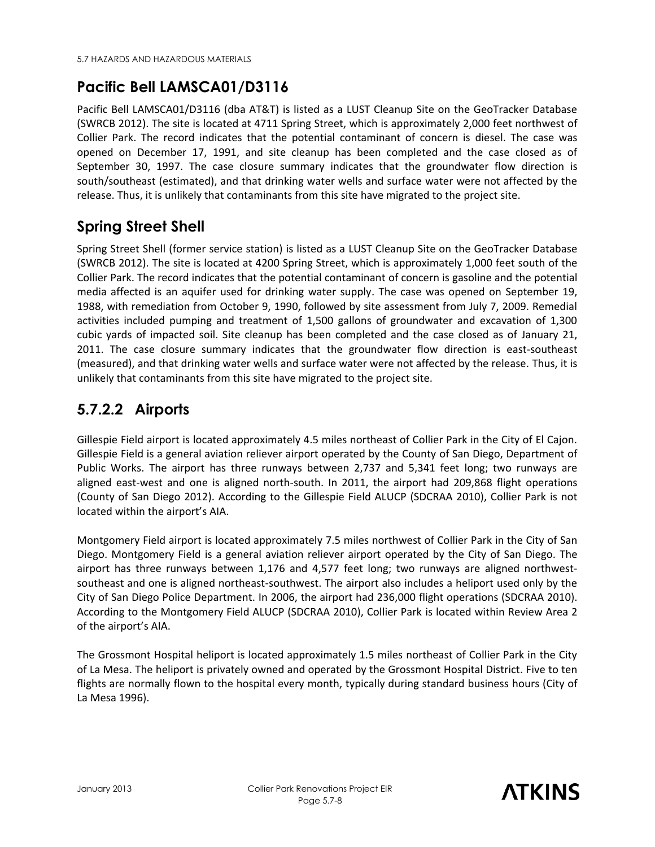# **Pacific Bell LAMSCA01/D3116**

Pacific Bell LAMSCA01/D3116 (dba AT&T) is listed as a LUST Cleanup Site on the GeoTracker Database (SWRCB 2012). The site is located at 4711 Spring Street, which is approximately 2,000 feet northwest of Collier Park. The record indicates that the potential contaminant of concern is diesel. The case was opened on December 17, 1991, and site cleanup has been completed and the case closed as of September 30, 1997. The case closure summary indicates that the groundwater flow direction is south/southeast (estimated), and that drinking water wells and surface water were not affected by the release. Thus, it is unlikely that contaminants from this site have migrated to the project site.

# **Spring Street Shell**

Spring Street Shell (former service station) is listed as a LUST Cleanup Site on the GeoTracker Database (SWRCB 2012). The site is located at 4200 Spring Street, which is approximately 1,000 feet south of the Collier Park. The record indicates that the potential contaminant of concern is gasoline and the potential media affected is an aquifer used for drinking water supply. The case was opened on September 19, 1988, with remediation from October 9, 1990, followed by site assessment from July 7, 2009. Remedial activities included pumping and treatment of 1,500 gallons of groundwater and excavation of 1,300 cubic yards of impacted soil. Site cleanup has been completed and the case closed as of January 21, 2011. The case closure summary indicates that the groundwater flow direction is east-southeast (measured), and that drinking water wells and surface water were not affected by the release. Thus, it is unlikely that contaminants from this site have migrated to the project site.

# **5.7.2.2 Airports**

Gillespie Field airport is located approximately 4.5 miles northeast of Collier Park in the City of El Cajon. Gillespie Field is a general aviation reliever airport operated by the County of San Diego, Department of Public Works. The airport has three runways between 2,737 and 5,341 feet long; two runways are aligned east-west and one is aligned north-south. In 2011, the airport had 209,868 flight operations (County of San Diego 2012). According to the Gillespie Field ALUCP (SDCRAA 2010), Collier Park is not located within the airport's AIA.

Montgomery Field airport is located approximately 7.5 miles northwest of Collier Park in the City of San Diego. Montgomery Field is a general aviation reliever airport operated by the City of San Diego. The airport has three runways between 1,176 and 4,577 feet long; two runways are aligned northwestsoutheast and one is aligned northeast-southwest. The airport also includes a heliport used only by the City of San Diego Police Department. In 2006, the airport had 236,000 flight operations (SDCRAA 2010). According to the Montgomery Field ALUCP (SDCRAA 2010), Collier Park is located within Review Area 2 of the airport's AIA.

The Grossmont Hospital heliport is located approximately 1.5 miles northeast of Collier Park in the City of La Mesa. The heliport is privately owned and operated by the Grossmont Hospital District. Five to ten flights are normally flown to the hospital every month, typically during standard business hours (City of La Mesa 1996).

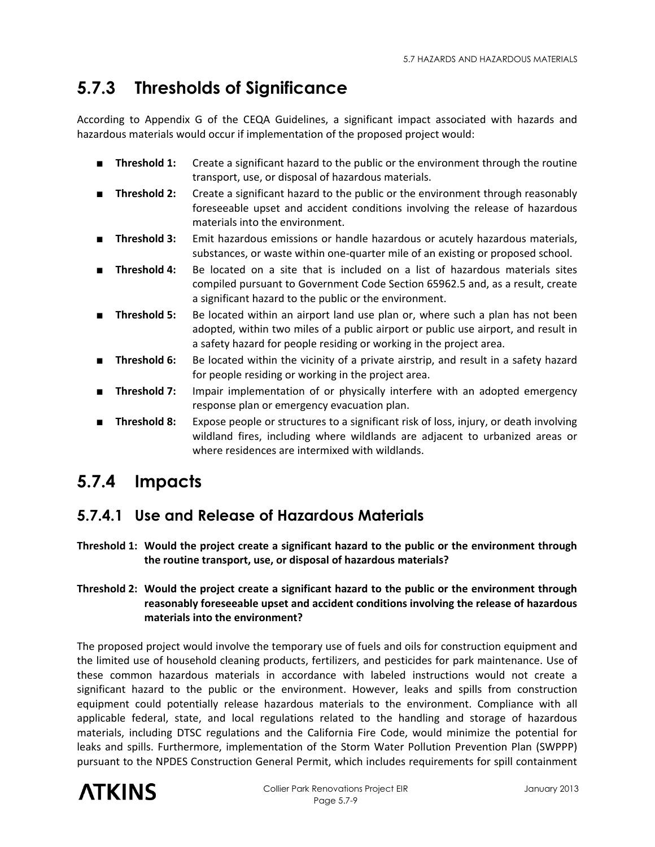# **5.7.3 Thresholds of Significance**

According to Appendix G of the CEQA Guidelines, a significant impact associated with hazards and hazardous materials would occur if implementation of the proposed project would:

- **Threshold 1:** Create a significant hazard to the public or the environment through the routine transport, use, or disposal of hazardous materials.
- **Threshold 2:** Create a significant hazard to the public or the environment through reasonably foreseeable upset and accident conditions involving the release of hazardous materials into the environment.
- **Threshold 3:** Emit hazardous emissions or handle hazardous or acutely hazardous materials, substances, or waste within one-quarter mile of an existing or proposed school.
- **Threshold 4:** Be located on a site that is included on a list of hazardous materials sites compiled pursuant to Government Code Section 65962.5 and, as a result, create a significant hazard to the public or the environment.
- **Threshold 5:** Be located within an airport land use plan or, where such a plan has not been adopted, within two miles of a public airport or public use airport, and result in a safety hazard for people residing or working in the project area.
- **Threshold 6:** Be located within the vicinity of a private airstrip, and result in a safety hazard for people residing or working in the project area.
- **Threshold 7:** Impair implementation of or physically interfere with an adopted emergency response plan or emergency evacuation plan.
- **Threshold 8:** Expose people or structures to a significant risk of loss, injury, or death involving wildland fires, including where wildlands are adjacent to urbanized areas or where residences are intermixed with wildlands.

# **5.7.4 Impacts**

# **5.7.4.1 Use and Release of Hazardous Materials**

**Threshold 1: Would the project create a significant hazard to the public or the environment through the routine transport, use, or disposal of hazardous materials?** 

#### **Threshold 2: Would the project create a significant hazard to the public or the environment through reasonably foreseeable upset and accident conditions involving the release of hazardous materials into the environment?**

The proposed project would involve the temporary use of fuels and oils for construction equipment and the limited use of household cleaning products, fertilizers, and pesticides for park maintenance. Use of these common hazardous materials in accordance with labeled instructions would not create a significant hazard to the public or the environment. However, leaks and spills from construction equipment could potentially release hazardous materials to the environment. Compliance with all applicable federal, state, and local regulations related to the handling and storage of hazardous materials, including DTSC regulations and the California Fire Code, would minimize the potential for leaks and spills. Furthermore, implementation of the Storm Water Pollution Prevention Plan (SWPPP) pursuant to the NPDES Construction General Permit, which includes requirements for spill containment

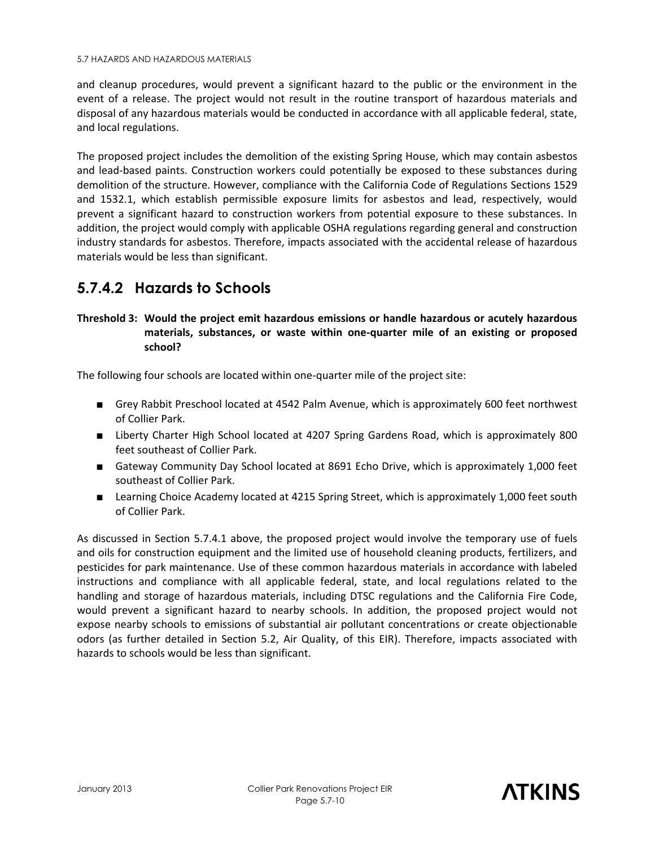and cleanup procedures, would prevent a significant hazard to the public or the environment in the event of a release. The project would not result in the routine transport of hazardous materials and disposal of any hazardous materials would be conducted in accordance with all applicable federal, state, and local regulations.

The proposed project includes the demolition of the existing Spring House, which may contain asbestos and lead-based paints. Construction workers could potentially be exposed to these substances during demolition of the structure. However, compliance with the California Code of Regulations Sections 1529 and 1532.1, which establish permissible exposure limits for asbestos and lead, respectively, would prevent a significant hazard to construction workers from potential exposure to these substances. In addition, the project would comply with applicable OSHA regulations regarding general and construction industry standards for asbestos. Therefore, impacts associated with the accidental release of hazardous materials would be less than significant.

# **5.7.4.2 Hazards to Schools**

#### **Threshold 3: Would the project emit hazardous emissions or handle hazardous or acutely hazardous materials, substances, or waste within one-quarter mile of an existing or proposed school?**

The following four schools are located within one-quarter mile of the project site:

- Grey Rabbit Preschool located at 4542 Palm Avenue, which is approximately 600 feet northwest of Collier Park.
- Liberty Charter High School located at 4207 Spring Gardens Road, which is approximately 800 feet southeast of Collier Park.
- Gateway Community Day School located at 8691 Echo Drive, which is approximately 1,000 feet southeast of Collier Park.
- Learning Choice Academy located at 4215 Spring Street, which is approximately 1,000 feet south of Collier Park.

As discussed in Section 5.7.4.1 above, the proposed project would involve the temporary use of fuels and oils for construction equipment and the limited use of household cleaning products, fertilizers, and pesticides for park maintenance. Use of these common hazardous materials in accordance with labeled instructions and compliance with all applicable federal, state, and local regulations related to the handling and storage of hazardous materials, including DTSC regulations and the California Fire Code, would prevent a significant hazard to nearby schools. In addition, the proposed project would not expose nearby schools to emissions of substantial air pollutant concentrations or create objectionable odors (as further detailed in Section 5.2, Air Quality, of this EIR). Therefore, impacts associated with hazards to schools would be less than significant.

**ATKINS**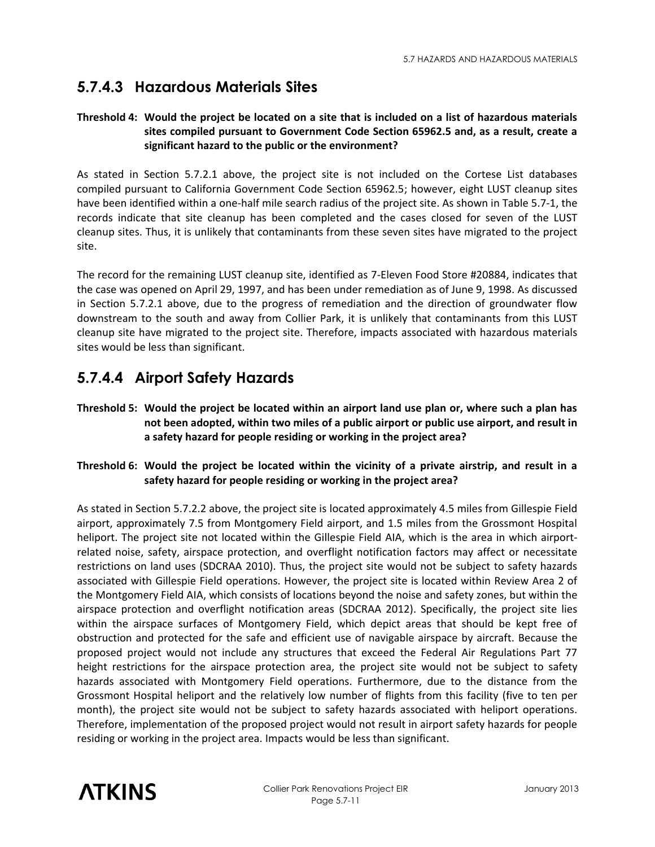## **5.7.4.3 Hazardous Materials Sites**

#### **Threshold 4: Would the project be located on a site that is included on a list of hazardous materials sites compiled pursuant to Government Code Section 65962.5 and, as a result, create a significant hazard to the public or the environment?**

As stated in Section 5.7.2.1 above, the project site is not included on the Cortese List databases compiled pursuant to California Government Code Section 65962.5; however, eight LUST cleanup sites have been identified within a one-half mile search radius of the project site. As shown in Table 5.7-1, the records indicate that site cleanup has been completed and the cases closed for seven of the LUST cleanup sites. Thus, it is unlikely that contaminants from these seven sites have migrated to the project site.

The record for the remaining LUST cleanup site, identified as 7-Eleven Food Store #20884, indicates that the case was opened on April 29, 1997, and has been under remediation as of June 9, 1998. As discussed in Section 5.7.2.1 above, due to the progress of remediation and the direction of groundwater flow downstream to the south and away from Collier Park, it is unlikely that contaminants from this LUST cleanup site have migrated to the project site. Therefore, impacts associated with hazardous materials sites would be less than significant.

## **5.7.4.4 Airport Safety Hazards**

**Threshold 5: Would the project be located within an airport land use plan or, where such a plan has not been adopted, within two miles of a public airport or public use airport, and result in a safety hazard for people residing or working in the project area?** 

#### **Threshold 6: Would the project be located within the vicinity of a private airstrip, and result in a safety hazard for people residing or working in the project area?**

As stated in Section 5.7.2.2 above, the project site is located approximately 4.5 miles from Gillespie Field airport, approximately 7.5 from Montgomery Field airport, and 1.5 miles from the Grossmont Hospital heliport. The project site not located within the Gillespie Field AIA, which is the area in which airportrelated noise, safety, airspace protection, and overflight notification factors may affect or necessitate restrictions on land uses (SDCRAA 2010). Thus, the project site would not be subject to safety hazards associated with Gillespie Field operations. However, the project site is located within Review Area 2 of the Montgomery Field AIA, which consists of locations beyond the noise and safety zones, but within the airspace protection and overflight notification areas (SDCRAA 2012). Specifically, the project site lies within the airspace surfaces of Montgomery Field, which depict areas that should be kept free of obstruction and protected for the safe and efficient use of navigable airspace by aircraft. Because the proposed project would not include any structures that exceed the Federal Air Regulations Part 77 height restrictions for the airspace protection area, the project site would not be subject to safety hazards associated with Montgomery Field operations. Furthermore, due to the distance from the Grossmont Hospital heliport and the relatively low number of flights from this facility (five to ten per month), the project site would not be subject to safety hazards associated with heliport operations. Therefore, implementation of the proposed project would not result in airport safety hazards for people residing or working in the project area. Impacts would be less than significant.

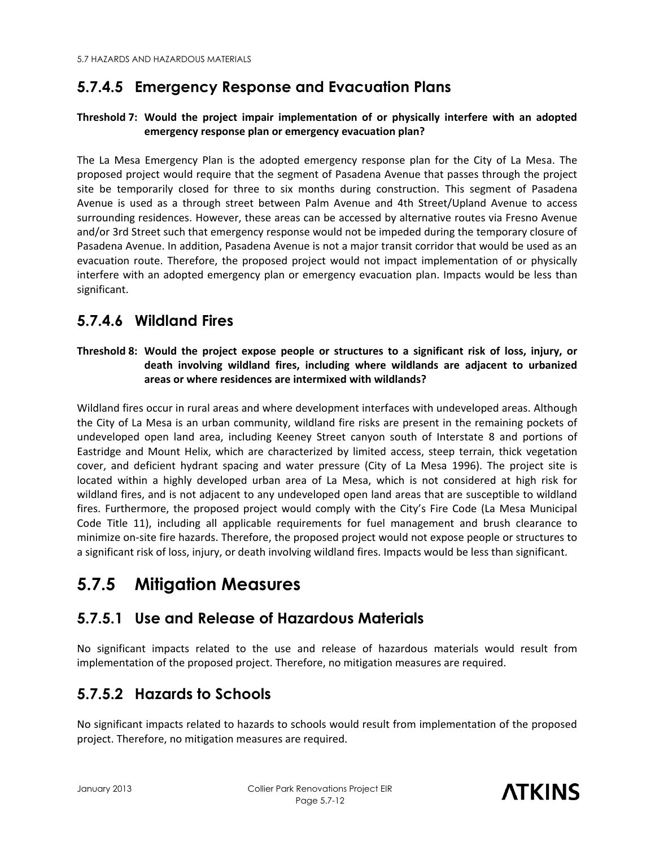# **5.7.4.5 Emergency Response and Evacuation Plans**

#### **Threshold 7: Would the project impair implementation of or physically interfere with an adopted emergency response plan or emergency evacuation plan?**

The La Mesa Emergency Plan is the adopted emergency response plan for the City of La Mesa. The proposed project would require that the segment of Pasadena Avenue that passes through the project site be temporarily closed for three to six months during construction. This segment of Pasadena Avenue is used as a through street between Palm Avenue and 4th Street/Upland Avenue to access surrounding residences. However, these areas can be accessed by alternative routes via Fresno Avenue and/or 3rd Street such that emergency response would not be impeded during the temporary closure of Pasadena Avenue. In addition, Pasadena Avenue is not a major transit corridor that would be used as an evacuation route. Therefore, the proposed project would not impact implementation of or physically interfere with an adopted emergency plan or emergency evacuation plan. Impacts would be less than significant.

## **5.7.4.6 Wildland Fires**

#### **Threshold 8: Would the project expose people or structures to a significant risk of loss, injury, or death involving wildland fires, including where wildlands are adjacent to urbanized areas or where residences are intermixed with wildlands?**

Wildland fires occur in rural areas and where development interfaces with undeveloped areas. Although the City of La Mesa is an urban community, wildland fire risks are present in the remaining pockets of undeveloped open land area, including Keeney Street canyon south of Interstate 8 and portions of Eastridge and Mount Helix, which are characterized by limited access, steep terrain, thick vegetation cover, and deficient hydrant spacing and water pressure (City of La Mesa 1996). The project site is located within a highly developed urban area of La Mesa, which is not considered at high risk for wildland fires, and is not adjacent to any undeveloped open land areas that are susceptible to wildland fires. Furthermore, the proposed project would comply with the City's Fire Code (La Mesa Municipal Code Title 11), including all applicable requirements for fuel management and brush clearance to minimize on-site fire hazards. Therefore, the proposed project would not expose people or structures to a significant risk of loss, injury, or death involving wildland fires. Impacts would be less than significant.

# **5.7.5 Mitigation Measures**

## **5.7.5.1 Use and Release of Hazardous Materials**

No significant impacts related to the use and release of hazardous materials would result from implementation of the proposed project. Therefore, no mitigation measures are required.

# **5.7.5.2 Hazards to Schools**

No significant impacts related to hazards to schools would result from implementation of the proposed project. Therefore, no mitigation measures are required.

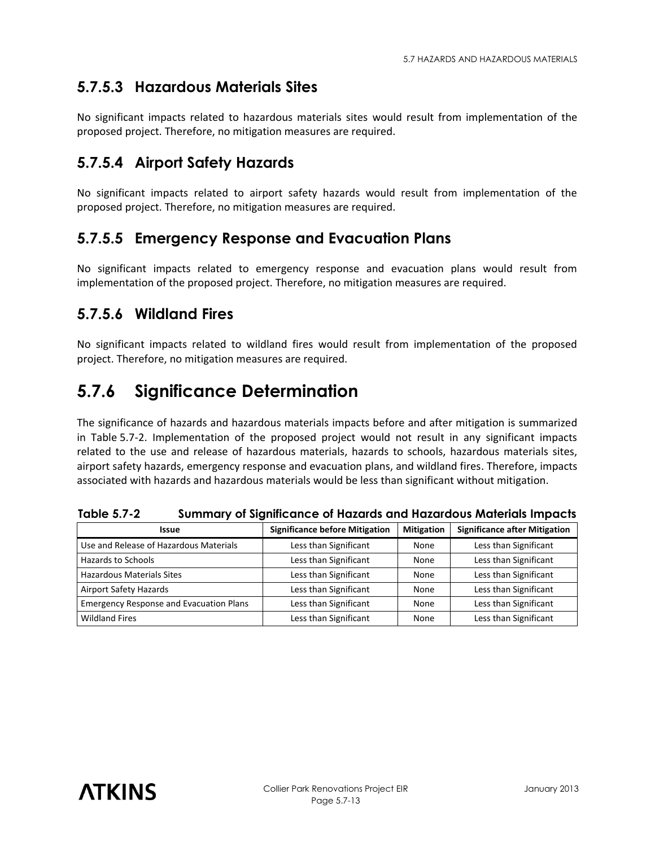# **5.7.5.3 Hazardous Materials Sites**

No significant impacts related to hazardous materials sites would result from implementation of the proposed project. Therefore, no mitigation measures are required.

### **5.7.5.4 Airport Safety Hazards**

No significant impacts related to airport safety hazards would result from implementation of the proposed project. Therefore, no mitigation measures are required.

### **5.7.5.5 Emergency Response and Evacuation Plans**

No significant impacts related to emergency response and evacuation plans would result from implementation of the proposed project. Therefore, no mitigation measures are required.

### **5.7.5.6 Wildland Fires**

No significant impacts related to wildland fires would result from implementation of the proposed project. Therefore, no mitigation measures are required.

# **5.7.6 Significance Determination**

The significance of hazards and hazardous materials impacts before and after mitigation is summarized in Table 5.7-2. Implementation of the proposed project would not result in any significant impacts related to the use and release of hazardous materials, hazards to schools, hazardous materials sites, airport safety hazards, emergency response and evacuation plans, and wildland fires. Therefore, impacts associated with hazards and hazardous materials would be less than significant without mitigation.

| Issue                                          | <b>Significance before Mitigation</b> | <b>Mitigation</b> | <b>Significance after Mitigation</b> |
|------------------------------------------------|---------------------------------------|-------------------|--------------------------------------|
| Use and Release of Hazardous Materials         | Less than Significant                 | None              | Less than Significant                |
| <b>Hazards to Schools</b>                      | Less than Significant                 | None              | Less than Significant                |
| <b>Hazardous Materials Sites</b>               | Less than Significant                 | None              | Less than Significant                |
| Airport Safety Hazards                         | Less than Significant                 | None              | Less than Significant                |
| <b>Emergency Response and Evacuation Plans</b> | Less than Significant                 | None              | Less than Significant                |
| <b>Wildland Fires</b>                          | Less than Significant                 | None              | Less than Significant                |

**Table 5.7-2 Summary of Significance of Hazards and Hazardous Materials Impacts**